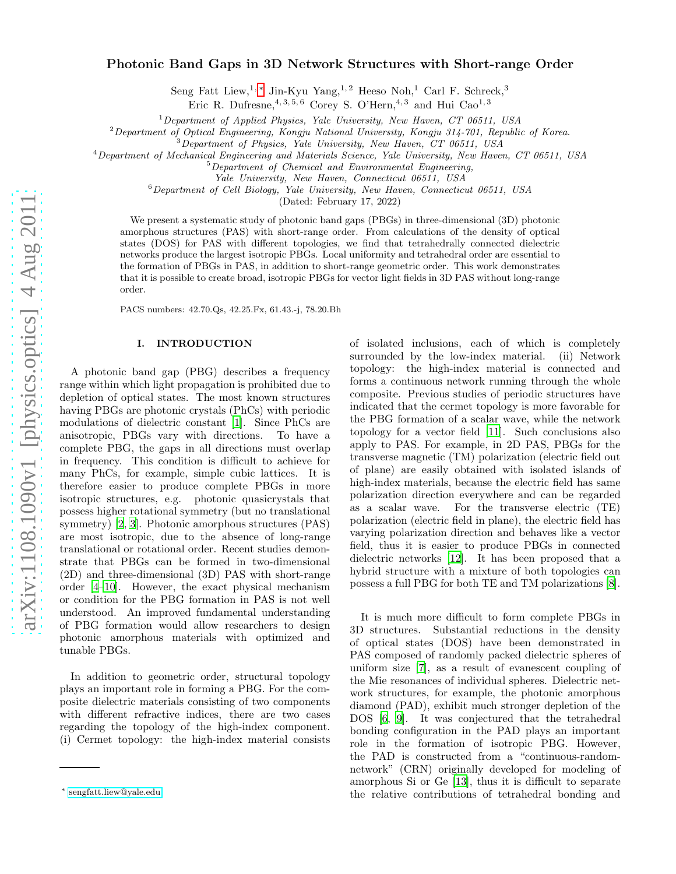# Photonic Band Gaps in 3D Network Structures with Short-range Order

Seng Fatt Liew,<sup>1,\*</sup> Jin-Kyu Yang,<sup>1,2</sup> Heeso Noh,<sup>1</sup> Carl F. Schreck,<sup>3</sup>

Eric R. Dufresne,  $4, 3, 5, 6$  Corey S. O'Hern,  $4, 3$  and Hui Cao<sup>1, 3</sup>

<sup>1</sup>*Department of Applied Physics, Yale University, New Haven, CT 06511, USA*

<sup>2</sup>*Department of Optical Engineering, Kongju National University, Kongju 314-701, Republic of Korea.*

<sup>3</sup>*Department of Physics, Yale University, New Haven, CT 06511, USA*

<sup>4</sup>*Department of Mechanical Engineering and Materials Science, Yale University, New Haven, CT 06511, USA*

<sup>5</sup>*Department of Chemical and Environmental Engineering,*

*Yale University, New Haven, Connecticut 06511, USA*

<sup>6</sup>*Department of Cell Biology, Yale University, New Haven, Connecticut 06511, USA*

(Dated: February 17, 2022)

We present a systematic study of photonic band gaps (PBGs) in three-dimensional (3D) photonic amorphous structures (PAS) with short-range order. From calculations of the density of optical states (DOS) for PAS with different topologies, we find that tetrahedrally connected dielectric networks produce the largest isotropic PBGs. Local uniformity and tetrahedral order are essential to the formation of PBGs in PAS, in addition to short-range geometric order. This work demonstrates that it is possible to create broad, isotropic PBGs for vector light fields in 3D PAS without long-range order.

PACS numbers: 42.70.Qs, 42.25.Fx, 61.43.-j, 78.20.Bh

#### I. INTRODUCTION

A photonic band gap (PBG) describes a frequency range within which light propagation is prohibited due to depletion of optical states. The most known structures having PBGs are photonic crystals (PhCs) with periodic modulations of dielectric constant [\[1](#page-5-0)]. Since PhCs are anisotropic, PBGs vary with directions. To have a complete PBG, the gaps in all directions must overlap in frequency. This condition is difficult to achieve for many PhCs, for example, simple cubic lattices. It is therefore easier to produce complete PBGs in more isotropic structures, e.g. photonic quasicrystals that possess higher rotational symmetry (but no translational symmetry) [\[2](#page-5-1), [3](#page-5-2)]. Photonic amorphous structures (PAS) are most isotropic, due to the absence of long-range translational or rotational order. Recent studies demonstrate that PBGs can be formed in two-dimensional (2D) and three-dimensional (3D) PAS with short-range order [\[4](#page-5-3)[–10\]](#page-5-4). However, the exact physical mechanism or condition for the PBG formation in PAS is not well understood. An improved fundamental understanding of PBG formation would allow researchers to design photonic amorphous materials with optimized and tunable PBGs.

In addition to geometric order, structural topology plays an important role in forming a PBG. For the composite dielectric materials consisting of two components with different refractive indices, there are two cases regarding the topology of the high-index component. (i) Cermet topology: the high-index material consists of isolated inclusions, each of which is completely surrounded by the low-index material. (ii) Network topology: the high-index material is connected and forms a continuous network running through the whole composite. Previous studies of periodic structures have indicated that the cermet topology is more favorable for the PBG formation of a scalar wave, while the network topology for a vector field [\[11\]](#page-5-5). Such conclusions also apply to PAS. For example, in 2D PAS, PBGs for the transverse magnetic (TM) polarization (electric field out of plane) are easily obtained with isolated islands of high-index materials, because the electric field has same polarization direction everywhere and can be regarded as a scalar wave. For the transverse electric (TE) polarization (electric field in plane), the electric field has varying polarization direction and behaves like a vector field, thus it is easier to produce PBGs in connected dielectric networks [\[12\]](#page-5-6). It has been proposed that a hybrid structure with a mixture of both topologies can possess a full PBG for both TE and TM polarizations [\[8\]](#page-5-7).

It is much more difficult to form complete PBGs in 3D structures. Substantial reductions in the density of optical states (DOS) have been demonstrated in PAS composed of randomly packed dielectric spheres of uniform size [\[7](#page-5-8)], as a result of evanescent coupling of the Mie resonances of individual spheres. Dielectric network structures, for example, the photonic amorphous diamond (PAD), exhibit much stronger depletion of the DOS [\[6](#page-5-9), [9](#page-5-10)]. It was conjectured that the tetrahedral bonding configuration in the PAD plays an important role in the formation of isotropic PBG. However, the PAD is constructed from a "continuous-randomnetwork" (CRN) originally developed for modeling of amorphous Si or Ge [\[13\]](#page-5-11), thus it is difficult to separate the relative contributions of tetrahedral bonding and

<span id="page-0-0"></span><sup>∗</sup> [sengfatt.liew@yale.edu](mailto:sengfatt.liew@yale.edu)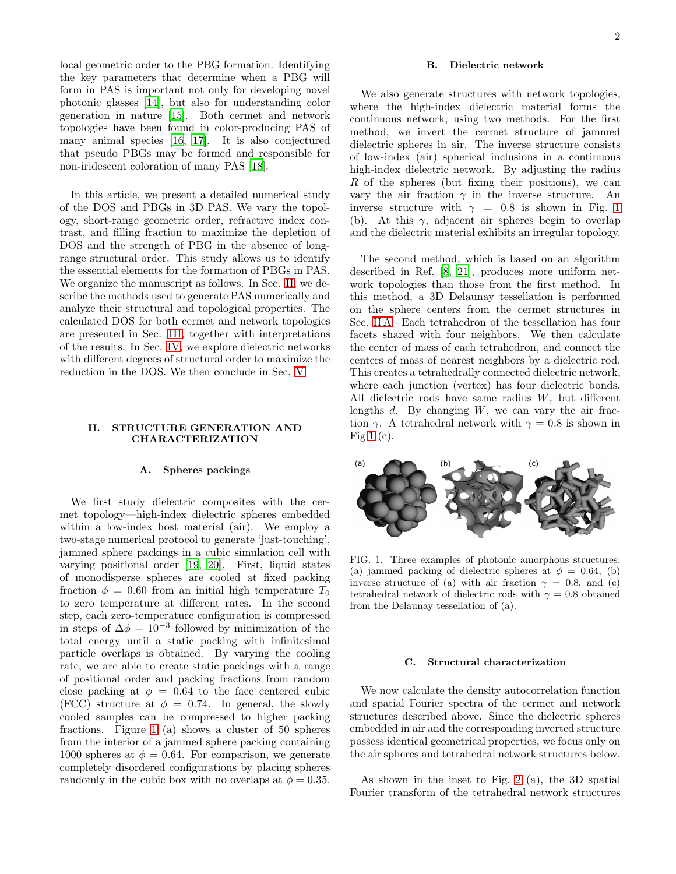local geometric order to the PBG formation. Identifying the key parameters that determine when a PBG will form in PAS is important not only for developing novel photonic glasses [\[14\]](#page-5-12), but also for understanding color generation in nature [\[15\]](#page-5-13). Both cermet and network topologies have been found in color-producing PAS of many animal species [\[16](#page-5-14), [17\]](#page-5-15). It is also conjectured that pseudo PBGs may be formed and responsible for non-iridescent coloration of many PAS [\[18\]](#page-5-16).

In this article, we present a detailed numerical study of the DOS and PBGs in 3D PAS. We vary the topology, short-range geometric order, refractive index contrast, and filling fraction to maximize the depletion of DOS and the strength of PBG in the absence of longrange structural order. This study allows us to identify the essential elements for the formation of PBGs in PAS. We organize the manuscript as follows. In Sec. [II,](#page-1-0) we describe the methods used to generate PAS numerically and analyze their structural and topological properties. The calculated DOS for both cermet and network topologies are presented in Sec. [III,](#page-2-0) together with interpretations of the results. In Sec. [IV,](#page-3-0) we explore dielectric networks with different degrees of structural order to maximize the reduction in the DOS. We then conclude in Sec. [V.](#page-5-17)

# <span id="page-1-0"></span>II. STRUCTURE GENERATION AND CHARACTERIZATION

#### <span id="page-1-2"></span>A. Spheres packings

We first study dielectric composites with the cermet topology—high-index dielectric spheres embedded within a low-index host material (air). We employ a two-stage numerical protocol to generate 'just-touching', jammed sphere packings in a cubic simulation cell with varying positional order [\[19](#page-5-18), [20](#page-5-19)]. First, liquid states of monodisperse spheres are cooled at fixed packing fraction  $\phi = 0.60$  from an initial high temperature  $T_0$ to zero temperature at different rates. In the second step, each zero-temperature configuration is compressed in steps of  $\Delta \phi = 10^{-3}$  followed by minimization of the total energy until a static packing with infinitesimal particle overlaps is obtained. By varying the cooling rate, we are able to create static packings with a range of positional order and packing fractions from random close packing at  $\phi = 0.64$  to the face centered cubic (FCC) structure at  $\phi = 0.74$ . In general, the slowly cooled samples can be compressed to higher packing fractions. Figure [1](#page-1-1) (a) shows a cluster of 50 spheres from the interior of a jammed sphere packing containing 1000 spheres at  $\phi = 0.64$ . For comparison, we generate completely disordered configurations by placing spheres randomly in the cubic box with no overlaps at  $\phi = 0.35$ .

#### B. Dielectric network

We also generate structures with network topologies, where the high-index dielectric material forms the continuous network, using two methods. For the first method, we invert the cermet structure of jammed dielectric spheres in air. The inverse structure consists of low-index (air) spherical inclusions in a continuous high-index dielectric network. By adjusting the radius R of the spheres (but fixing their positions), we can vary the air fraction  $\gamma$  in the inverse structure. An inverse structure with  $\gamma = 0.8$  is shown in Fig. [1](#page-1-1) (b). At this  $\gamma$ , adjacent air spheres begin to overlap and the dielectric material exhibits an irregular topology.

The second method, which is based on an algorithm described in Ref. [\[8,](#page-5-7) [21\]](#page-5-20), produces more uniform network topologies than those from the first method. In this method, a 3D Delaunay tessellation is performed on the sphere centers from the cermet structures in Sec. [II A.](#page-1-2) Each tetrahedron of the tessellation has four facets shared with four neighbors. We then calculate the center of mass of each tetrahedron, and connect the centers of mass of nearest neighbors by a dielectric rod. This creates a tetrahedrally connected dielectric network, where each junction (vertex) has four dielectric bonds. All dielectric rods have same radius W, but different lengths  $d$ . By changing  $W$ , we can vary the air fraction  $\gamma$ . A tetrahedral network with  $\gamma = 0.8$  is shown in Fig[.1](#page-1-1)  $(c)$ .



<span id="page-1-1"></span>FIG. 1. Three examples of photonic amorphous structures: (a) jammed packing of dielectric spheres at  $\phi = 0.64$ , (b) inverse structure of (a) with air fraction  $\gamma = 0.8$ , and (c) tetrahedral network of dielectric rods with  $\gamma = 0.8$  obtained from the Delaunay tessellation of (a).

# C. Structural characterization

We now calculate the density autocorrelation function and spatial Fourier spectra of the cermet and network structures described above. Since the dielectric spheres embedded in air and the corresponding inverted structure possess identical geometrical properties, we focus only on the air spheres and tetrahedral network structures below.

As shown in the inset to Fig. [2](#page-2-1) (a), the 3D spatial Fourier transform of the tetrahedral network structures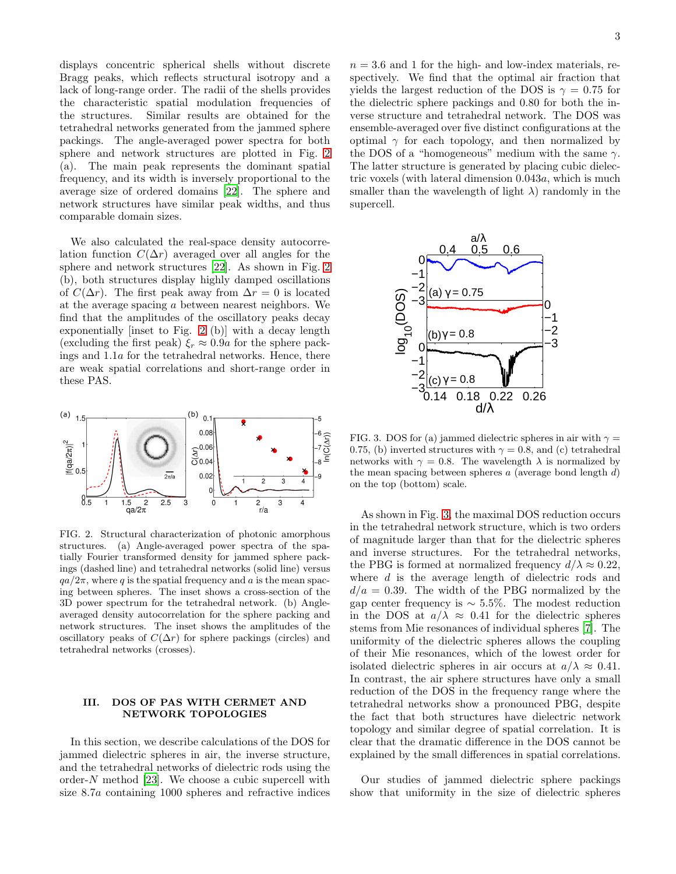displays concentric spherical shells without discrete Bragg peaks, which reflects structural isotropy and a lack of long-range order. The radii of the shells provides the characteristic spatial modulation frequencies of the structures. Similar results are obtained for the tetrahedral networks generated from the jammed sphere packings. The angle-averaged power spectra for both sphere and network structures are plotted in Fig. [2](#page-2-1) (a). The main peak represents the dominant spatial frequency, and its width is inversely proportional to the average size of ordered domains [\[22\]](#page-5-21). The sphere and network structures have similar peak widths, and thus comparable domain sizes.

We also calculated the real-space density autocorrelation function  $C(\Delta r)$  averaged over all angles for the sphere and network structures [\[22\]](#page-5-21). As shown in Fig. [2](#page-2-1) (b), both structures display highly damped oscillations of  $C(\Delta r)$ . The first peak away from  $\Delta r = 0$  is located at the average spacing a between nearest neighbors. We find that the amplitudes of the oscillatory peaks decay exponentially [inset to Fig. [2](#page-2-1) (b)] with a decay length (excluding the first peak)  $\xi_r \approx 0.9a$  for the sphere packings and 1.1a for the tetrahedral networks. Hence, there are weak spatial correlations and short-range order in these PAS.



<span id="page-2-1"></span>FIG. 2. Structural characterization of photonic amorphous structures. (a) Angle-averaged power spectra of the spatially Fourier transformed density for jammed sphere packings (dashed line) and tetrahedral networks (solid line) versus  $qa/2\pi$ , where q is the spatial frequency and a is the mean spacing between spheres. The inset shows a cross-section of the 3D power spectrum for the tetrahedral network. (b) Angleaveraged density autocorrelation for the sphere packing and network structures. The inset shows the amplitudes of the oscillatory peaks of  $C(\Delta r)$  for sphere packings (circles) and tetrahedral networks (crosses).

# <span id="page-2-0"></span>III. DOS OF PAS WITH CERMET AND NETWORK TOPOLOGIES

In this section, we describe calculations of the DOS for jammed dielectric spheres in air, the inverse structure, and the tetrahedral networks of dielectric rods using the order-N method [\[23](#page-5-22)]. We choose a cubic supercell with size 8.7a containing 1000 spheres and refractive indices

 $n = 3.6$  and 1 for the high- and low-index materials, respectively. We find that the optimal air fraction that yields the largest reduction of the DOS is  $\gamma = 0.75$  for the dielectric sphere packings and 0.80 for both the inverse structure and tetrahedral network. The DOS was ensemble-averaged over five distinct configurations at the optimal  $\gamma$  for each topology, and then normalized by the DOS of a "homogeneous" medium with the same  $\gamma$ . The latter structure is generated by placing cubic dielectric voxels (with lateral dimension 0.043a, which is much smaller than the wavelength of light  $\lambda$ ) randomly in the supercell.



<span id="page-2-2"></span>FIG. 3. DOS for (a) jammed dielectric spheres in air with  $\gamma =$ 0.75, (b) inverted structures with  $\gamma = 0.8$ , and (c) tetrahedral networks with  $\gamma = 0.8$ . The wavelength  $\lambda$  is normalized by the mean spacing between spheres  $a$  (average bond length  $d$ ) on the top (bottom) scale.

As shown in Fig. [3,](#page-2-2) the maximal DOS reduction occurs in the tetrahedral network structure, which is two orders of magnitude larger than that for the dielectric spheres and inverse structures. For the tetrahedral networks, the PBG is formed at normalized frequency  $d/\lambda \approx 0.22$ , where  $d$  is the average length of dielectric rods and  $d/a = 0.39$ . The width of the PBG normalized by the gap center frequency is  $\sim 5.5\%$ . The modest reduction in the DOS at  $a/\lambda \approx 0.41$  for the dielectric spheres stems from Mie resonances of individual spheres [\[7](#page-5-8)]. The uniformity of the dielectric spheres allows the coupling of their Mie resonances, which of the lowest order for isolated dielectric spheres in air occurs at  $a/\lambda \approx 0.41$ . In contrast, the air sphere structures have only a small reduction of the DOS in the frequency range where the tetrahedral networks show a pronounced PBG, despite the fact that both structures have dielectric network topology and similar degree of spatial correlation. It is clear that the dramatic difference in the DOS cannot be explained by the small differences in spatial correlations.

Our studies of jammed dielectric sphere packings show that uniformity in the size of dielectric spheres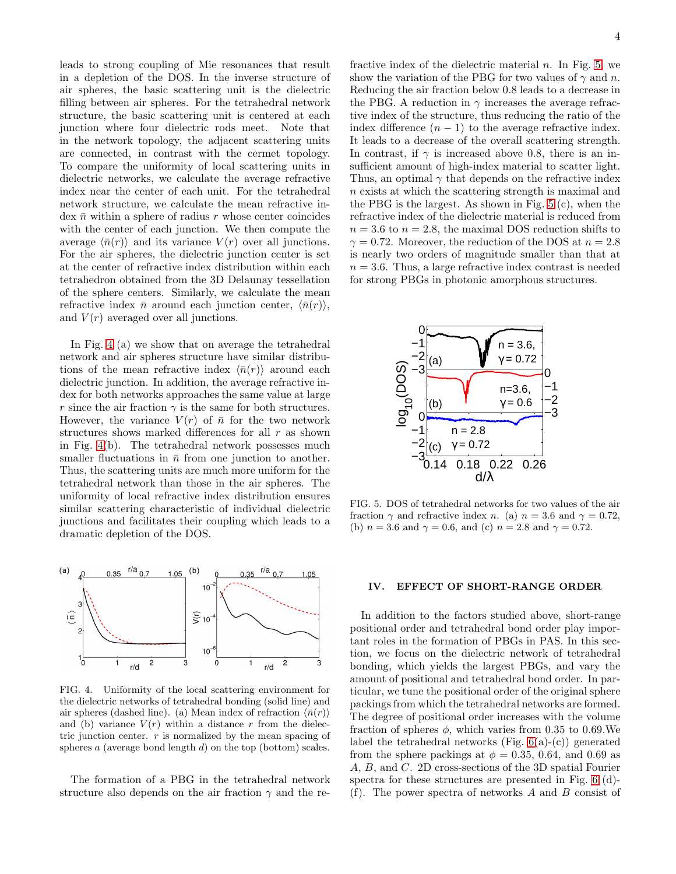leads to strong coupling of Mie resonances that result in a depletion of the DOS. In the inverse structure of air spheres, the basic scattering unit is the dielectric filling between air spheres. For the tetrahedral network structure, the basic scattering unit is centered at each junction where four dielectric rods meet. Note that in the network topology, the adjacent scattering units are connected, in contrast with the cermet topology. To compare the uniformity of local scattering units in dielectric networks, we calculate the average refractive index near the center of each unit. For the tetrahedral network structure, we calculate the mean refractive index  $\bar{n}$  within a sphere of radius r whose center coincides with the center of each junction. We then compute the average  $\langle \bar{n}(r) \rangle$  and its variance  $V(r)$  over all junctions. For the air spheres, the dielectric junction center is set at the center of refractive index distribution within each tetrahedron obtained from the 3D Delaunay tessellation of the sphere centers. Similarly, we calculate the mean refractive index  $\bar{n}$  around each junction center,  $\langle \bar{n}(r) \rangle$ , and  $V(r)$  averaged over all junctions.

In Fig. [4](#page-3-1) (a) we show that on average the tetrahedral network and air spheres structure have similar distributions of the mean refractive index  $\langle \bar{n}(r) \rangle$  around each dielectric junction. In addition, the average refractive index for both networks approaches the same value at large r since the air fraction  $\gamma$  is the same for both structures. However, the variance  $V(r)$  of  $\bar{n}$  for the two network structures shows marked differences for all r as shown in Fig. [4\(](#page-3-1)b). The tetrahedral network possesses much smaller fluctuations in  $\bar{n}$  from one junction to another. Thus, the scattering units are much more uniform for the tetrahedral network than those in the air spheres. The uniformity of local refractive index distribution ensures similar scattering characteristic of individual dielectric junctions and facilitates their coupling which leads to a dramatic depletion of the DOS.



<span id="page-3-1"></span>FIG. 4. Uniformity of the local scattering environment for the dielectric networks of tetrahedral bonding (solid line) and air spheres (dashed line). (a) Mean index of refraction  $\langle \bar{n}(r) \rangle$ and (b) variance  $V(r)$  within a distance r from the dielectric junction center. r is normalized by the mean spacing of spheres  $a$  (average bond length  $d$ ) on the top (bottom) scales.

The formation of a PBG in the tetrahedral network structure also depends on the air fraction  $\gamma$  and the refractive index of the dielectric material  $n$ . In Fig. [5,](#page-3-2) we show the variation of the PBG for two values of  $\gamma$  and n. Reducing the air fraction below 0.8 leads to a decrease in the PBG. A reduction in  $\gamma$  increases the average refractive index of the structure, thus reducing the ratio of the index difference  $(n - 1)$  to the average refractive index. It leads to a decrease of the overall scattering strength. In contrast, if  $\gamma$  is increased above 0.8, there is an insufficient amount of high-index material to scatter light. Thus, an optimal  $\gamma$  that depends on the refractive index n exists at which the scattering strength is maximal and the PBG is the largest. As shown in Fig. [5](#page-3-2) (c), when the refractive index of the dielectric material is reduced from  $n = 3.6$  to  $n = 2.8$ , the maximal DOS reduction shifts to  $\gamma = 0.72$ . Moreover, the reduction of the DOS at  $n = 2.8$ is nearly two orders of magnitude smaller than that at  $n = 3.6$ . Thus, a large refractive index contrast is needed for strong PBGs in photonic amorphous structures.



<span id="page-3-2"></span>FIG. 5. DOS of tetrahedral networks for two values of the air fraction  $\gamma$  and refractive index n. (a)  $n = 3.6$  and  $\gamma = 0.72$ , (b)  $n = 3.6$  and  $\gamma = 0.6$ , and (c)  $n = 2.8$  and  $\gamma = 0.72$ .

# <span id="page-3-0"></span>IV. EFFECT OF SHORT-RANGE ORDER

In addition to the factors studied above, short-range positional order and tetrahedral bond order play important roles in the formation of PBGs in PAS. In this section, we focus on the dielectric network of tetrahedral bonding, which yields the largest PBGs, and vary the amount of positional and tetrahedral bond order. In particular, we tune the positional order of the original sphere packings from which the tetrahedral networks are formed. The degree of positional order increases with the volume fraction of spheres  $\phi$ , which varies from 0.35 to 0.69.We label the tetrahedral networks (Fig.  $6(a)-(c)$ ) generated from the sphere packings at  $\phi = 0.35, 0.64,$  and 0.69 as A, B, and C. 2D cross-sections of the 3D spatial Fourier spectra for these structures are presented in Fig. [6](#page-4-0) (d)- (f). The power spectra of networks A and B consist of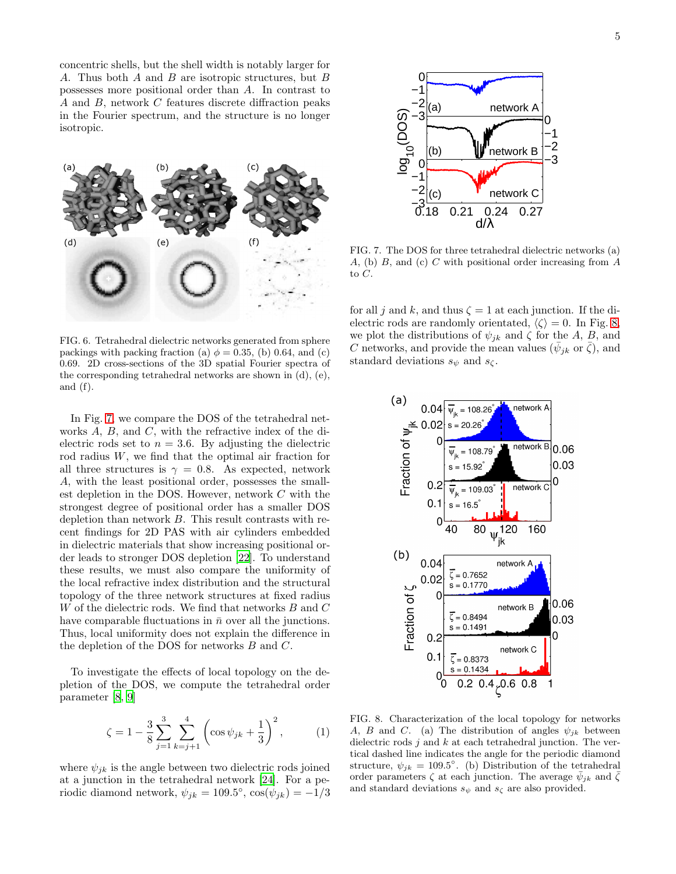concentric shells, but the shell width is notably larger for A. Thus both A and B are isotropic structures, but B possesses more positional order than A. In contrast to A and B, network C features discrete diffraction peaks in the Fourier spectrum, and the structure is no longer isotropic.



<span id="page-4-0"></span>FIG. 6. Tetrahedral dielectric networks generated from sphere packings with packing fraction (a)  $\phi = 0.35$ , (b) 0.64, and (c) 0.69. 2D cross-sections of the 3D spatial Fourier spectra of the corresponding tetrahedral networks are shown in (d), (e), and (f).

In Fig. [7,](#page-4-1) we compare the DOS of the tetrahedral networks A, B, and C, with the refractive index of the dielectric rods set to  $n = 3.6$ . By adjusting the dielectric rod radius W, we find that the optimal air fraction for all three structures is  $\gamma = 0.8$ . As expected, network A, with the least positional order, possesses the smallest depletion in the DOS. However, network C with the strongest degree of positional order has a smaller DOS depletion than network B. This result contrasts with recent findings for 2D PAS with air cylinders embedded in dielectric materials that show increasing positional order leads to stronger DOS depletion [\[22\]](#page-5-21). To understand these results, we must also compare the uniformity of the local refractive index distribution and the structural topology of the three network structures at fixed radius W of the dielectric rods. We find that networks B and C have comparable fluctuations in  $\bar{n}$  over all the junctions. Thus, local uniformity does not explain the difference in the depletion of the DOS for networks B and C.

To investigate the effects of local topology on the depletion of the DOS, we compute the tetrahedral order parameter [\[8](#page-5-7), [9](#page-5-10)]

$$
\zeta = 1 - \frac{3}{8} \sum_{j=1}^{3} \sum_{k=j+1}^{4} \left( \cos \psi_{jk} + \frac{1}{3} \right)^2, \tag{1}
$$

where  $\psi_{jk}$  is the angle between two dielectric rods joined at a junction in the tetrahedral network [\[24](#page-5-23)]. For a periodic diamond network,  $\psi_{jk} = 109.5^{\circ}$ ,  $\cos(\psi_{jk}) = -1/3$ 



<span id="page-4-1"></span>FIG. 7. The DOS for three tetrahedral dielectric networks (a) A, (b) B, and (c) C with positional order increasing from A to C.

for all j and k, and thus  $\zeta = 1$  at each junction. If the dielectric rods are randomly orientated,  $\langle \zeta \rangle = 0$ . In Fig. [8,](#page-4-2) we plot the distributions of  $\psi_{jk}$  and  $\zeta$  for the A, B, and C networks, and provide the mean values  $(\bar{\psi}_{jk} \text{ or } \bar{\zeta})$ , and standard deviations  $s_{\psi}$  and  $s_{\zeta}$ .



<span id="page-4-2"></span>FIG. 8. Characterization of the local topology for networks A, B and C. (a) The distribution of angles  $\psi_{ik}$  between dielectric rods  $j$  and  $k$  at each tetrahedral junction. The vertical dashed line indicates the angle for the periodic diamond structure,  $\psi_{jk} = 109.5^{\circ}$ . (b) Distribution of the tetrahedral order parameters  $\zeta$  at each junction. The average  $\bar{\psi}_{jk}$  and  $\bar{\zeta}$ and standard deviations  $s_{\psi}$  and  $s_{\zeta}$  are also provided.